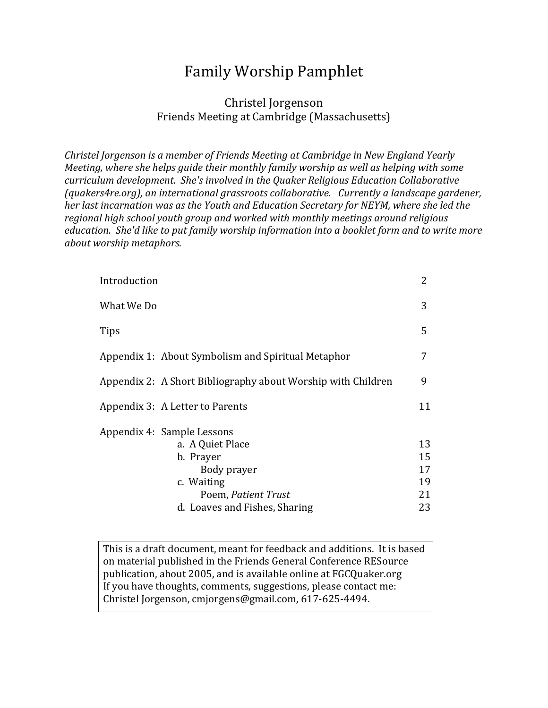# Family Worship Pamphlet

### Christel Jorgenson Friends Meeting at Cambridge (Massachusetts)

*Christel Jorgenson is a member of Friends Meeting at Cambridge in New England Yearly Meeting, where she helps guide their monthly family worship as well as helping with some curriculum development. She's involved in the Quaker Religious Education Collaborative (guakers4re.org), an international grassroots collaborative. Currently a landscape gardener, her last incarnation was as the Youth and Education Secretary for NEYM, where she led the* regional high school youth group and worked with monthly meetings around religious *education.* She'd like to put family worship information into a booklet form and to write more *about worship metaphors*. 

| 2  |
|----|
| 3  |
| 5  |
| 7  |
| 9  |
| 11 |
|    |
| 13 |
| 15 |
| 17 |
| 19 |
| 21 |
| 23 |
|    |

This is a draft document, meant for feedback and additions. It is based on material published in the Friends General Conference RESource publication, about 2005, and is available online at FGCQuaker.org If you have thoughts, comments, suggestions, please contact me: Christel Jorgenson, cmjorgens@gmail.com, 617-625-4494.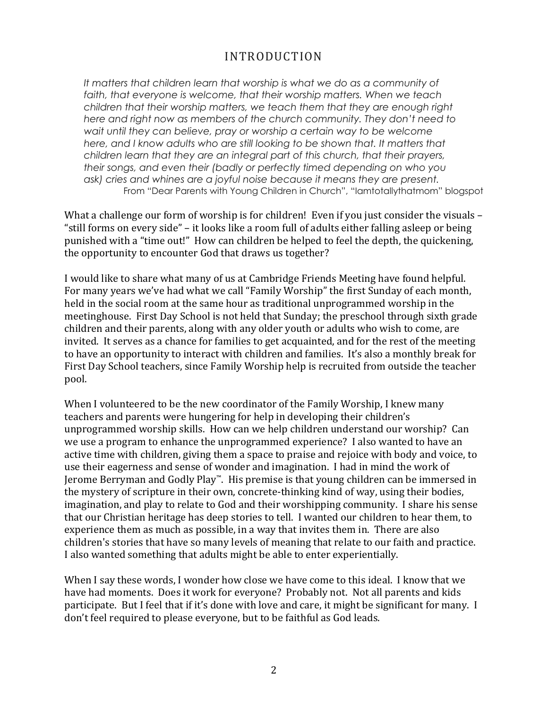# INTRODUCTION

It matters that children learn that worship is what we do as a community of *faith, that everyone is welcome, that their worship matters. When we teach children that their worship matters, we teach them that they are enough right here and right now as members of the church community. They don't need to wait until they can believe, pray or worship a certain way to be welcome* here, and I know adults who are still looking to be shown that. It matters that *children learn that they are an integral part of this church, that their prayers, their songs, and even their (badly or perfectly timed depending on who you ask) cries and whines are a joyful noise because it means they are present.* From "Dear Parents with Young Children in Church", "Iamtotallythatmom" blogspot

What a challenge our form of worship is for children! Even if you just consider the visuals  $-$ "still forms on every side" – it looks like a room full of adults either falling asleep or being punished with a "time out!" How can children be helped to feel the depth, the quickening, the opportunity to encounter God that draws us together?

I would like to share what many of us at Cambridge Friends Meeting have found helpful. For many years we've had what we call "Family Worship" the first Sunday of each month, held in the social room at the same hour as traditional unprogrammed worship in the meetinghouse. First Day School is not held that Sunday; the preschool through sixth grade children and their parents, along with any older youth or adults who wish to come, are invited. It serves as a chance for families to get acquainted, and for the rest of the meeting to have an opportunity to interact with children and families. It's also a monthly break for First Day School teachers, since Family Worship help is recruited from outside the teacher pool. 

When I volunteered to be the new coordinator of the Family Worship, I knew many teachers and parents were hungering for help in developing their children's unprogrammed worship skills. How can we help children understand our worship? Can we use a program to enhance the unprogrammed experience? I also wanted to have an active time with children, giving them a space to praise and rejoice with body and voice, to use their eagerness and sense of wonder and imagination. I had in mind the work of Jerome Berryman and Godly Play™. His premise is that young children can be immersed in the mystery of scripture in their own, concrete-thinking kind of way, using their bodies, imagination, and play to relate to God and their worshipping community. I share his sense that our Christian heritage has deep stories to tell. I wanted our children to hear them, to experience them as much as possible, in a way that invites them in. There are also children's stories that have so many levels of meaning that relate to our faith and practice. I also wanted something that adults might be able to enter experientially.

When I say these words, I wonder how close we have come to this ideal. I know that we have had moments. Does it work for everyone? Probably not. Not all parents and kids participate. But I feel that if it's done with love and care, it might be significant for many. I don't feel required to please everyone, but to be faithful as God leads.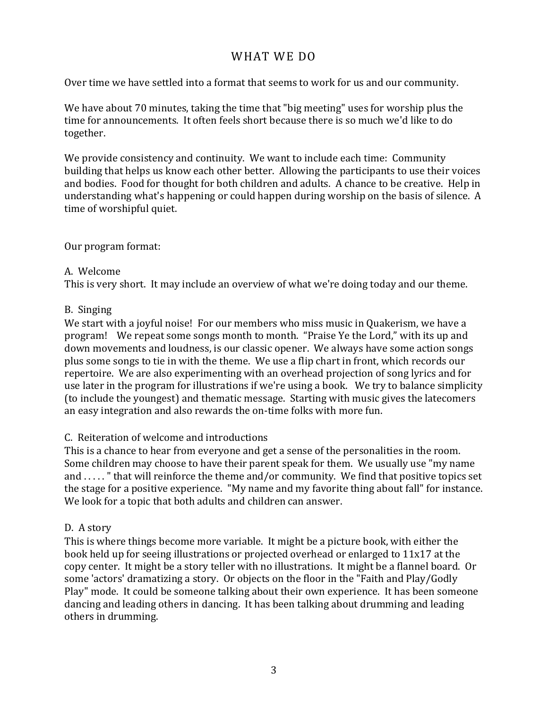## WHAT WE DO

Over time we have settled into a format that seems to work for us and our community.

We have about 70 minutes, taking the time that "big meeting" uses for worship plus the time for announcements. It often feels short because there is so much we'd like to do together. 

We provide consistency and continuity. We want to include each time: Community building that helps us know each other better. Allowing the participants to use their voices and bodies. Food for thought for both children and adults. A chance to be creative. Help in understanding what's happening or could happen during worship on the basis of silence. A time of worshipful quiet.

Our program format:

#### A. Welcome

This is very short. It may include an overview of what we're doing today and our theme.

#### B. Singing

We start with a joyful noise! For our members who miss music in Quakerism, we have a program! We repeat some songs month to month. "Praise Ye the Lord," with its up and down movements and loudness, is our classic opener. We always have some action songs plus some songs to tie in with the theme. We use a flip chart in front, which records our repertoire. We are also experimenting with an overhead projection of song lyrics and for use later in the program for illustrations if we're using a book. We try to balance simplicity (to include the youngest) and thematic message. Starting with music gives the latecomers an easy integration and also rewards the on-time folks with more fun.

#### C. Reiteration of welcome and introductions

This is a chance to hear from everyone and get a sense of the personalities in the room. Some children may choose to have their parent speak for them. We usually use "my name" and ....." that will reinforce the theme and/or community. We find that positive topics set the stage for a positive experience. "My name and my favorite thing about fall" for instance. We look for a topic that both adults and children can answer.

#### D. A story

This is where things become more variable. It might be a picture book, with either the book held up for seeing illustrations or projected overhead or enlarged to  $11x17$  at the copy center. It might be a story teller with no illustrations. It might be a flannel board. Or some 'actors' dramatizing a story. Or objects on the floor in the "Faith and Play/Godly Play" mode. It could be someone talking about their own experience. It has been someone dancing and leading others in dancing. It has been talking about drumming and leading others in drumming.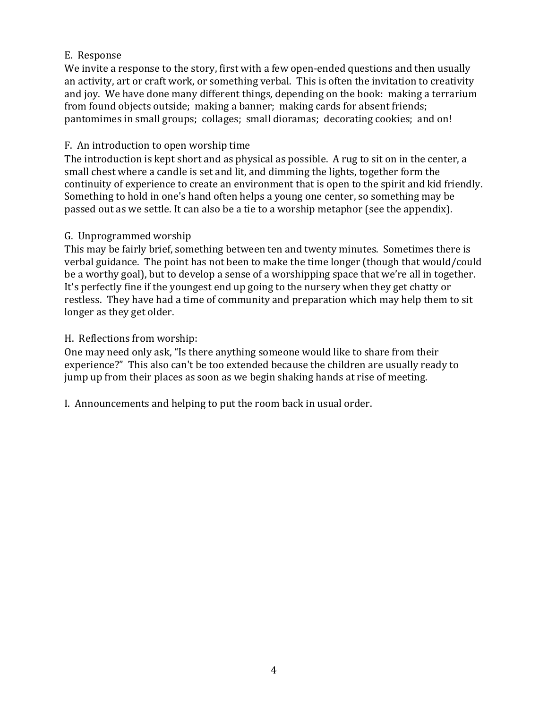#### E. Response

We invite a response to the story, first with a few open-ended questions and then usually an activity, art or craft work, or something verbal. This is often the invitation to creativity and joy. We have done many different things, depending on the book: making a terrarium from found objects outside; making a banner; making cards for absent friends; pantomimes in small groups; collages; small dioramas; decorating cookies; and on!

#### F. An introduction to open worship time

The introduction is kept short and as physical as possible. A rug to sit on in the center, a small chest where a candle is set and lit, and dimming the lights, together form the continuity of experience to create an environment that is open to the spirit and kid friendly. Something to hold in one's hand often helps a young one center, so something may be passed out as we settle. It can also be a tie to a worship metaphor (see the appendix).

#### G. Unprogrammed worship

This may be fairly brief, something between ten and twenty minutes. Sometimes there is verbal guidance. The point has not been to make the time longer (though that would/could be a worthy goal), but to develop a sense of a worshipping space that we're all in together. It's perfectly fine if the youngest end up going to the nursery when they get chatty or restless. They have had a time of community and preparation which may help them to sit longer as they get older.

#### H. Reflections from worship:

One may need only ask, "Is there anything someone would like to share from their experience?" This also can't be too extended because the children are usually ready to jump up from their places as soon as we begin shaking hands at rise of meeting.

I. Announcements and helping to put the room back in usual order.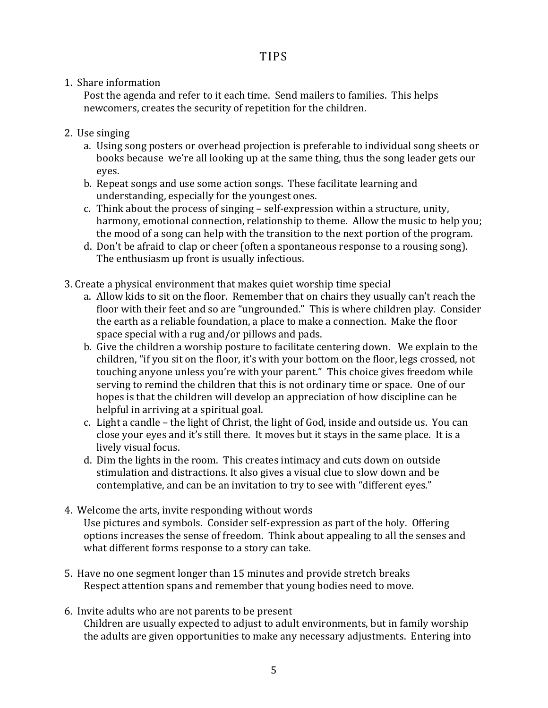1. Share information

Post the agenda and refer to it each time. Send mailers to families. This helps newcomers, creates the security of repetition for the children.

- 2. Use singing
	- a. Using song posters or overhead projection is preferable to individual song sheets or books because we're all looking up at the same thing, thus the song leader gets our eyes.
	- b. Repeat songs and use some action songs. These facilitate learning and understanding, especially for the youngest ones.
	- c. Think about the process of singing  $-$  self-expression within a structure, unity, harmony, emotional connection, relationship to theme. Allow the music to help you; the mood of a song can help with the transition to the next portion of the program.
	- d. Don't be afraid to clap or cheer (often a spontaneous response to a rousing song). The enthusiasm up front is usually infectious.
- 3. Create a physical environment that makes quiet worship time special
	- a. Allow kids to sit on the floor. Remember that on chairs they usually can't reach the floor with their feet and so are "ungrounded." This is where children play. Consider the earth as a reliable foundation, a place to make a connection. Make the floor space special with a rug and/or pillows and pads.
	- b. Give the children a worship posture to facilitate centering down. We explain to the children, "if you sit on the floor, it's with your bottom on the floor, legs crossed, not touching anyone unless you're with your parent." This choice gives freedom while serving to remind the children that this is not ordinary time or space. One of our hopes is that the children will develop an appreciation of how discipline can be helpful in arriving at a spiritual goal.
	- c. Light a candle the light of Christ, the light of God, inside and outside us. You can close your eyes and it's still there. It moves but it stays in the same place. It is a lively visual focus.
	- d. Dim the lights in the room. This creates intimacy and cuts down on outside stimulation and distractions. It also gives a visual clue to slow down and be contemplative, and can be an invitation to try to see with "different eyes."
- 4. Welcome the arts, invite responding without words Use pictures and symbols. Consider self-expression as part of the holy. Offering options increases the sense of freedom. Think about appealing to all the senses and what different forms response to a story can take.
- 5. Have no one segment longer than 15 minutes and provide stretch breaks Respect attention spans and remember that young bodies need to move.
- 6. Invite adults who are not parents to be present Children are usually expected to adjust to adult environments, but in family worship the adults are given opportunities to make any necessary adjustments. Entering into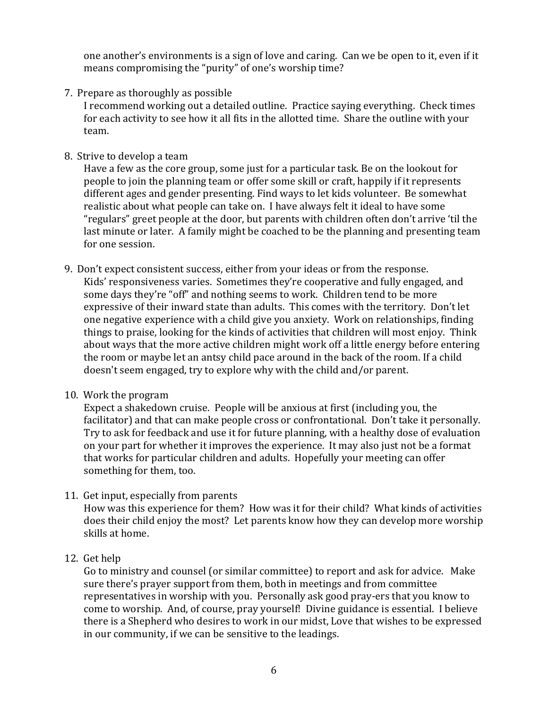one another's environments is a sign of love and caring. Can we be open to it, even if it means compromising the "purity" of one's worship time?

7. Prepare as thoroughly as possible

I recommend working out a detailed outline. Practice saying everything. Check times for each activity to see how it all fits in the allotted time. Share the outline with your team. 

8. Strive to develop a team

Have a few as the core group, some just for a particular task. Be on the lookout for people to join the planning team or offer some skill or craft, happily if it represents different ages and gender presenting. Find ways to let kids volunteer. Be somewhat realistic about what people can take on. I have always felt it ideal to have some "regulars" greet people at the door, but parents with children often don't arrive 'til the last minute or later. A family might be coached to be the planning and presenting team for one session.

- 9. Don't expect consistent success, either from your ideas or from the response. Kids' responsiveness varies. Sometimes they're cooperative and fully engaged, and some days they're "off" and nothing seems to work. Children tend to be more expressive of their inward state than adults. This comes with the territory. Don't let one negative experience with a child give you anxiety. Work on relationships, finding things to praise, looking for the kinds of activities that children will most enjoy. Think about ways that the more active children might work off a little energy before entering the room or maybe let an antsy child pace around in the back of the room. If a child doesn't seem engaged, try to explore why with the child and/or parent.
- 10. Work the program

Expect a shakedown cruise. People will be anxious at first (including you, the facilitator) and that can make people cross or confrontational. Don't take it personally. Try to ask for feedback and use it for future planning, with a healthy dose of evaluation on your part for whether it improves the experience. It may also just not be a format that works for particular children and adults. Hopefully your meeting can offer something for them, too.

11. Get input, especially from parents

How was this experience for them? How was it for their child? What kinds of activities does their child enjoy the most? Let parents know how they can develop more worship skills at home.

#### 12. Get help

Go to ministry and counsel (or similar committee) to report and ask for advice. Make sure there's prayer support from them, both in meetings and from committee representatives in worship with you. Personally ask good pray-ers that you know to come to worship. And, of course, pray yourself! Divine guidance is essential. I believe there is a Shepherd who desires to work in our midst, Love that wishes to be expressed in our community, if we can be sensitive to the leadings.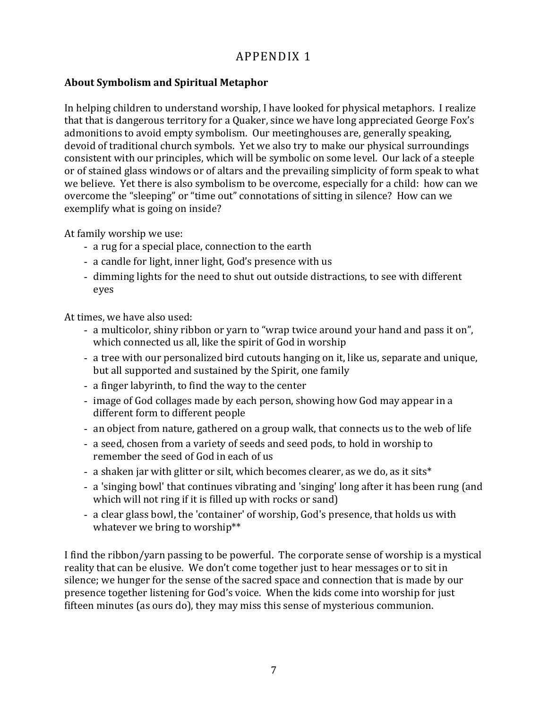#### **About Symbolism and Spiritual Metaphor**

In helping children to understand worship, I have looked for physical metaphors. I realize that that is dangerous territory for a Quaker, since we have long appreciated George Fox's admonitions to avoid empty symbolism. Our meetinghouses are, generally speaking, devoid of traditional church symbols. Yet we also try to make our physical surroundings consistent with our principles, which will be symbolic on some level. Our lack of a steeple or of stained glass windows or of altars and the prevailing simplicity of form speak to what we believe. Yet there is also symbolism to be overcome, especially for a child: how can we overcome the "sleeping" or "time out" connotations of sitting in silence? How can we exemplify what is going on inside?

At family worship we use:

- a rug for a special place, connection to the earth
- a candle for light, inner light, God's presence with us
- dimming lights for the need to shut out outside distractions, to see with different eyes

At times, we have also used:

- a multicolor, shiny ribbon or yarn to "wrap twice around your hand and pass it on", which connected us all, like the spirit of God in worship
- a tree with our personalized bird cutouts hanging on it, like us, separate and unique, but all supported and sustained by the Spirit, one family
- a finger labyrinth, to find the way to the center
- image of God collages made by each person, showing how God may appear in a different form to different people
- an object from nature, gathered on a group walk, that connects us to the web of life
- a seed, chosen from a variety of seeds and seed pods, to hold in worship to remember the seed of God in each of us
- a shaken jar with glitter or silt, which becomes clearer, as we do, as it sits\*
- a 'singing bowl' that continues vibrating and 'singing' long after it has been rung (and which will not ring if it is filled up with rocks or sand)
- a clear glass bowl, the 'container' of worship, God's presence, that holds us with whatever we bring to worship\*\*

I find the ribbon/yarn passing to be powerful. The corporate sense of worship is a mystical reality that can be elusive. We don't come together just to hear messages or to sit in silence; we hunger for the sense of the sacred space and connection that is made by our presence together listening for God's voice. When the kids come into worship for just fifteen minutes (as ours do), they may miss this sense of mysterious communion.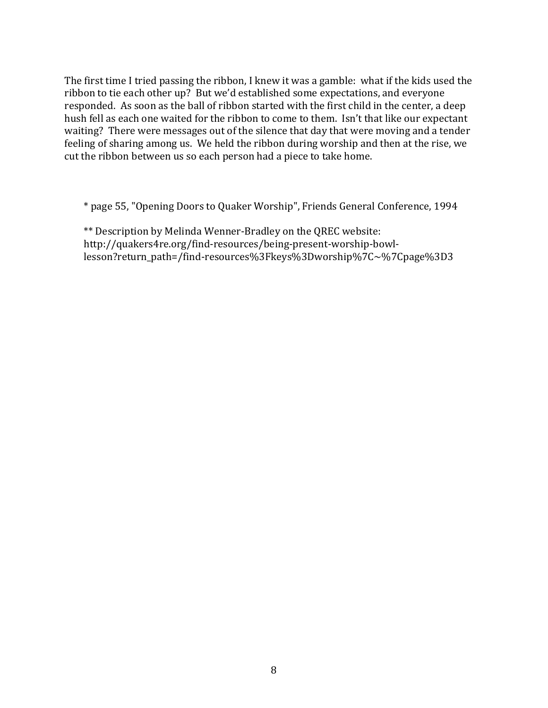The first time I tried passing the ribbon, I knew it was a gamble: what if the kids used the ribbon to tie each other up? But we'd established some expectations, and everyone responded. As soon as the ball of ribbon started with the first child in the center, a deep hush fell as each one waited for the ribbon to come to them. Isn't that like our expectant waiting? There were messages out of the silence that day that were moving and a tender feeling of sharing among us. We held the ribbon during worship and then at the rise, we cut the ribbon between us so each person had a piece to take home.

\* page 55, "Opening Doors to Quaker Worship", Friends General Conference, 1994

\*\* Description by Melinda Wenner-Bradley on the QREC website: http://quakers4re.org/find-resources/being-present-worship-bowllesson?return\_path=/find-resources%3Fkeys%3Dworship%7C~%7Cpage%3D3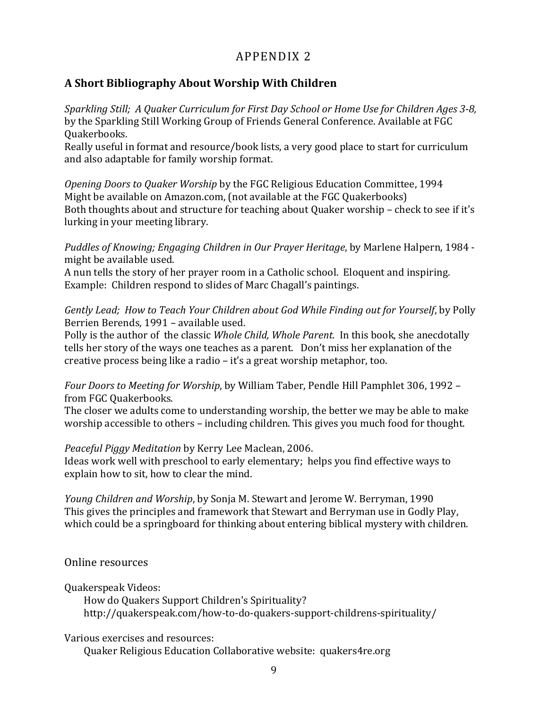### **A Short Bibliography About Worship With Children**

*Sparkling Still; A Quaker Curriculum for First Day School or Home Use for Children Ages 3-8,* by the Sparkling Still Working Group of Friends General Conference. Available at FGC Quakerbooks.

Really useful in format and resource/book lists, a very good place to start for curriculum and also adaptable for family worship format.

*Opening Doors to Quaker Worship* by the FGC Religious Education Committee, 1994 Might be available on Amazon.com, (not available at the FGC Quakerbooks) Both thoughts about and structure for teaching about Quaker worship - check to see if it's lurking in your meeting library.

*Puddles of Knowing; Engaging Children in Our Prayer Heritage,* by Marlene Halpern, 1984 might be available used.

A nun tells the story of her prayer room in a Catholic school. Eloquent and inspiring. Example: Children respond to slides of Marc Chagall's paintings.

*Gently Lead; How to Teach Your Children about God While Finding out for Yourself, by Polly* Berrien Berends, 1991 - available used.

Polly is the author of the classic *Whole Child, Whole Parent.* In this book, she anecdotally tells her story of the ways one teaches as a parent. Don't miss her explanation of the creative process being like a radio  $-$  it's a great worship metaphor, too.

*Four Doors to Meeting for Worship*, by William Taber, Pendle Hill Pamphlet 306, 1992 – from FGC Quakerbooks.

The closer we adults come to understanding worship, the better we may be able to make worship accessible to others - including children. This gives you much food for thought.

*Peaceful Piggy Meditation* by Kerry Lee Maclean, 2006.

Ideas work well with preschool to early elementary; helps you find effective ways to explain how to sit, how to clear the mind.

*Young Children and Worship*, by Sonja M. Stewart and Jerome W. Berryman, 1990 This gives the principles and framework that Stewart and Berryman use in Godly Play, which could be a springboard for thinking about entering biblical mystery with children.

Online resources

Quakerspeak Videos: 

How do Quakers Support Children's Spirituality? http://quakerspeak.com/how-to-do-quakers-support-childrens-spirituality/

Various exercises and resources:

Quaker Religious Education Collaborative website: quakers4re.org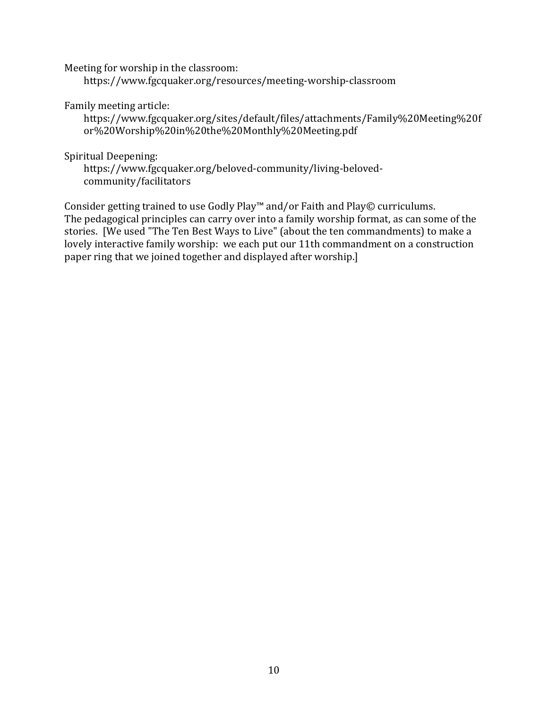Meeting for worship in the classroom:

https://www.fgcquaker.org/resources/meeting-worship-classroom

Family meeting article:

https://www.fgcquaker.org/sites/default/files/attachments/Family%20Meeting%20f or%20Worship%20in%20the%20Monthly%20Meeting.pdf

Spiritual Deepening:

https://www.fgcquaker.org/beloved-community/living-belovedcommunity/facilitators

Consider getting trained to use Godly Play<sup>™</sup> and/or Faith and Play© curriculums. The pedagogical principles can carry over into a family worship format, as can some of the stories. [We used "The Ten Best Ways to Live" (about the ten commandments) to make a lovely interactive family worship: we each put our 11th commandment on a construction paper ring that we joined together and displayed after worship.]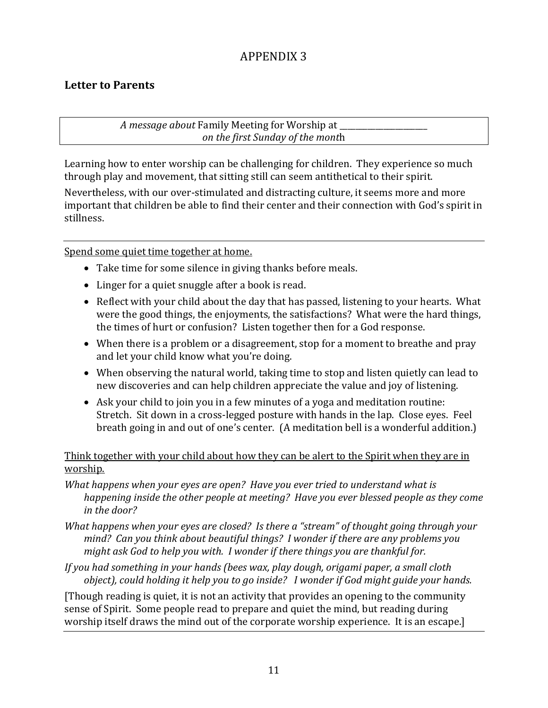### **Letter to Parents**

*A* message about Family Meeting for Worship at *on the first Sunday of the mont*h

Learning how to enter worship can be challenging for children. They experience so much through play and movement, that sitting still can seem antithetical to their spirit.

Nevertheless, with our over-stimulated and distracting culture, it seems more and more important that children be able to find their center and their connection with God's spirit in stillness. 

Spend some quiet time together at home.

- Take time for some silence in giving thanks before meals.
- Linger for a quiet snuggle after a book is read.
- Reflect with your child about the day that has passed, listening to your hearts. What were the good things, the enjoyments, the satisfactions? What were the hard things, the times of hurt or confusion? Listen together then for a God response.
- When there is a problem or a disagreement, stop for a moment to breathe and pray and let your child know what you're doing.
- When observing the natural world, taking time to stop and listen quietly can lead to new discoveries and can help children appreciate the value and joy of listening.
- Ask your child to join you in a few minutes of a yoga and meditation routine: Stretch. Sit down in a cross-legged posture with hands in the lap. Close eyes. Feel breath going in and out of one's center. (A meditation bell is a wonderful addition.)

#### Think together with your child about how they can be alert to the Spirit when they are in worship.

- *What happens when your eyes are open? Have you ever tried to understand what is happening inside the other people at meeting? Have you ever blessed people as they come in the door?*
- *What happens when your eyes are closed? Is there a "stream" of thought going through your mind?* Can you think about beautiful things? I wonder if there are any problems you *might ask God to help you with. I wonder if there things you are thankful for.*
- *If* you had something in your hands (bees wax, play dough, origami paper, a small cloth *object*), could holding it help you to go inside? I wonder if God might guide your hands.

[Though reading is quiet, it is not an activity that provides an opening to the community sense of Spirit. Some people read to prepare and quiet the mind, but reading during worship itself draws the mind out of the corporate worship experience. It is an escape.]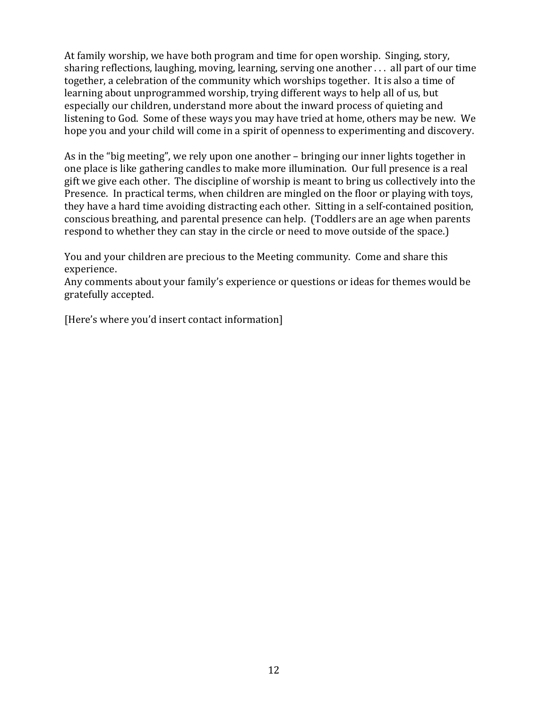At family worship, we have both program and time for open worship. Singing, story, sharing reflections, laughing, moving, learning, serving one another  $\dots$  all part of our time together, a celebration of the community which worships together. It is also a time of learning about unprogrammed worship, trying different ways to help all of us, but especially our children, understand more about the inward process of quieting and listening to God. Some of these ways you may have tried at home, others may be new. We hope you and your child will come in a spirit of openness to experimenting and discovery.

As in the "big meeting", we rely upon one another – bringing our inner lights together in one place is like gathering candles to make more illumination. Our full presence is a real gift we give each other. The discipline of worship is meant to bring us collectively into the Presence. In practical terms, when children are mingled on the floor or playing with toys, they have a hard time avoiding distracting each other. Sitting in a self-contained position, conscious breathing, and parental presence can help. (Toddlers are an age when parents respond to whether they can stay in the circle or need to move outside of the space.)

You and your children are precious to the Meeting community. Come and share this experience. 

Any comments about your family's experience or questions or ideas for themes would be gratefully accepted. 

[Here's where you'd insert contact information]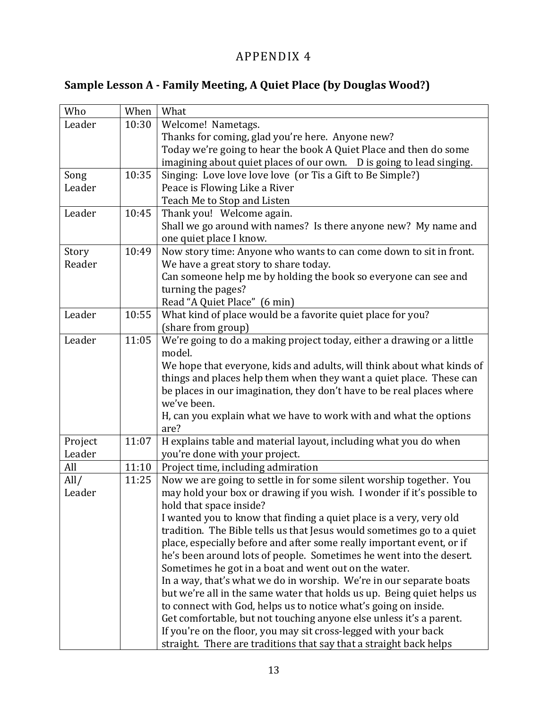# **Sample Lesson A - Family Meeting, A Quiet Place (by Douglas Wood?)**

| Who     | When  | What                                                                                                                         |
|---------|-------|------------------------------------------------------------------------------------------------------------------------------|
|         |       |                                                                                                                              |
| Leader  | 10:30 | Welcome! Nametags.                                                                                                           |
|         |       | Thanks for coming, glad you're here. Anyone new?                                                                             |
|         |       | Today we're going to hear the book A Quiet Place and then do some                                                            |
|         |       | imagining about quiet places of our own.  D is going to lead singing.                                                        |
| Song    | 10:35 | Singing: Love love love love (or Tis a Gift to Be Simple?)                                                                   |
| Leader  |       | Peace is Flowing Like a River                                                                                                |
|         |       | Teach Me to Stop and Listen                                                                                                  |
| Leader  | 10:45 | Thank you! Welcome again.                                                                                                    |
|         |       | Shall we go around with names? Is there anyone new? My name and                                                              |
|         |       | one quiet place I know.                                                                                                      |
| Story   | 10:49 | Now story time: Anyone who wants to can come down to sit in front.                                                           |
| Reader  |       | We have a great story to share today.                                                                                        |
|         |       | Can someone help me by holding the book so everyone can see and                                                              |
|         |       | turning the pages?                                                                                                           |
|         |       | Read "A Quiet Place" (6 min)                                                                                                 |
| Leader  | 10:55 | What kind of place would be a favorite quiet place for you?                                                                  |
|         |       | (share from group)                                                                                                           |
| Leader  | 11:05 | We're going to do a making project today, either a drawing or a little                                                       |
|         |       | model.                                                                                                                       |
|         |       | We hope that everyone, kids and adults, will think about what kinds of                                                       |
|         |       | things and places help them when they want a quiet place. These can                                                          |
|         |       | be places in our imagination, they don't have to be real places where                                                        |
|         |       | we've been.                                                                                                                  |
|         |       | H, can you explain what we have to work with and what the options                                                            |
|         |       | are?                                                                                                                         |
| Project | 11:07 | H explains table and material layout, including what you do when                                                             |
| Leader  |       | you're done with your project.                                                                                               |
| All     | 11:10 | Project time, including admiration                                                                                           |
| All/    | 11:25 | Now we are going to settle in for some silent worship together. You                                                          |
| Leader  |       | may hold your box or drawing if you wish. I wonder if it's possible to                                                       |
|         |       | hold that space inside?                                                                                                      |
|         |       | I wanted you to know that finding a quiet place is a very, very old                                                          |
|         |       | tradition. The Bible tells us that Jesus would sometimes go to a quiet                                                       |
|         |       | place, especially before and after some really important event, or if                                                        |
|         |       | he's been around lots of people. Sometimes he went into the desert.                                                          |
|         |       |                                                                                                                              |
|         |       | Sometimes he got in a boat and went out on the water.<br>In a way, that's what we do in worship. We're in our separate boats |
|         |       |                                                                                                                              |
|         |       | but we're all in the same water that holds us up. Being quiet helps us                                                       |
|         |       | to connect with God, helps us to notice what's going on inside.                                                              |
|         |       | Get comfortable, but not touching anyone else unless it's a parent.                                                          |
|         |       | If you're on the floor, you may sit cross-legged with your back                                                              |
|         |       | straight. There are traditions that say that a straight back helps                                                           |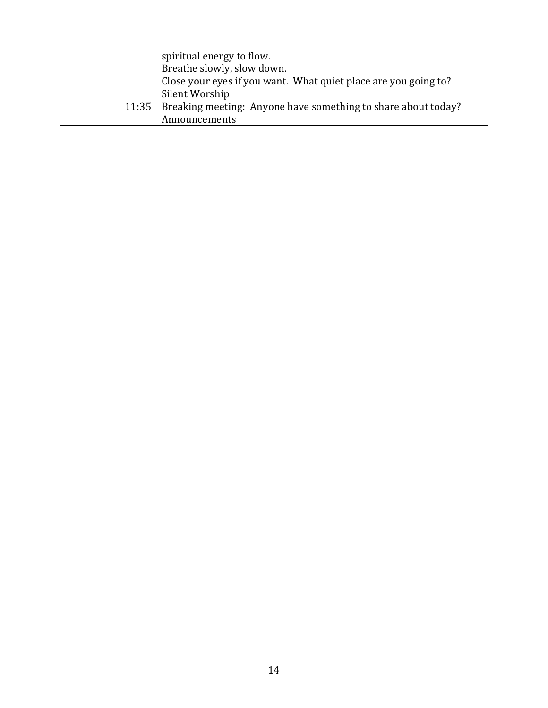|  | spiritual energy to flow.<br>Breathe slowly, slow down.<br>Close your eyes if you want. What quiet place are you going to?<br>Silent Worship |
|--|----------------------------------------------------------------------------------------------------------------------------------------------|
|  | 11:35   Breaking meeting: Anyone have something to share about today?<br>Announcements                                                       |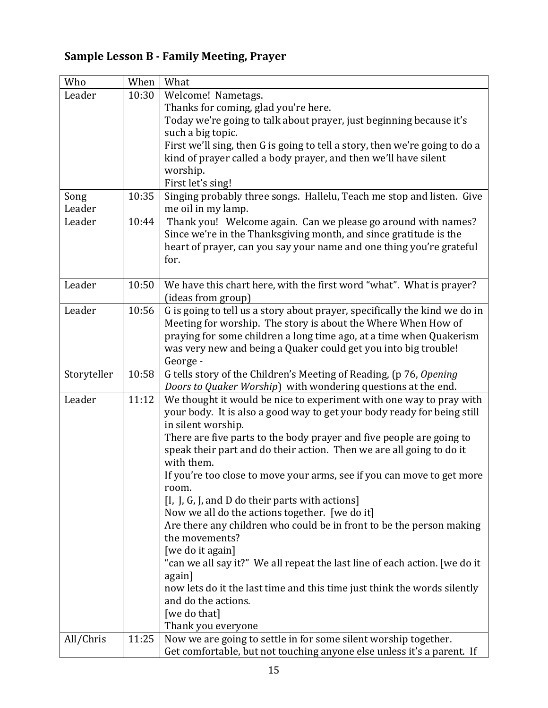# **Sample Lesson B - Family Meeting, Prayer**

| Who         | When  | What                                                                                                                                      |
|-------------|-------|-------------------------------------------------------------------------------------------------------------------------------------------|
| Leader      | 10:30 | Welcome! Nametags.                                                                                                                        |
|             |       | Thanks for coming, glad you're here.                                                                                                      |
|             |       | Today we're going to talk about prayer, just beginning because it's                                                                       |
|             |       | such a big topic.                                                                                                                         |
|             |       | First we'll sing, then G is going to tell a story, then we're going to do a                                                               |
|             |       | kind of prayer called a body prayer, and then we'll have silent                                                                           |
|             |       | worship.                                                                                                                                  |
|             |       | First let's sing!                                                                                                                         |
| Song        | 10:35 | Singing probably three songs. Hallelu, Teach me stop and listen. Give                                                                     |
| Leader      |       | me oil in my lamp.                                                                                                                        |
| Leader      | 10:44 | Thank you! Welcome again. Can we please go around with names?                                                                             |
|             |       | Since we're in the Thanksgiving month, and since gratitude is the                                                                         |
|             |       | heart of prayer, can you say your name and one thing you're grateful                                                                      |
|             |       | for.                                                                                                                                      |
|             |       |                                                                                                                                           |
| Leader      | 10:50 | We have this chart here, with the first word "what". What is prayer?                                                                      |
|             |       | (ideas from group)                                                                                                                        |
| Leader      | 10:56 | G is going to tell us a story about prayer, specifically the kind we do in                                                                |
|             |       | Meeting for worship. The story is about the Where When How of                                                                             |
|             |       | praying for some children a long time ago, at a time when Quakerism                                                                       |
|             |       | was very new and being a Quaker could get you into big trouble!                                                                           |
|             |       | George -                                                                                                                                  |
| Storyteller | 10:58 | G tells story of the Children's Meeting of Reading, (p 76, Opening                                                                        |
|             |       | Doors to Quaker Worship) with wondering questions at the end.                                                                             |
| Leader      | 11:12 | We thought it would be nice to experiment with one way to pray with                                                                       |
|             |       | your body. It is also a good way to get your body ready for being still                                                                   |
|             |       | in silent worship.                                                                                                                        |
|             |       | There are five parts to the body prayer and five people are going to                                                                      |
|             |       | speak their part and do their action. Then we are all going to do it                                                                      |
|             |       | with them.                                                                                                                                |
|             |       |                                                                                                                                           |
|             |       | If you're too close to move your arms, see if you can move to get more                                                                    |
|             |       | room.                                                                                                                                     |
|             |       | [I, J, G, J, and D do their parts with actions]                                                                                           |
|             |       | Now we all do the actions together. [we do it]                                                                                            |
|             |       | Are there any children who could be in front to be the person making                                                                      |
|             |       | the movements?                                                                                                                            |
|             |       | [we do it again]                                                                                                                          |
|             |       | "can we all say it?" We all repeat the last line of each action. [we do it                                                                |
|             |       | again]                                                                                                                                    |
|             |       | now lets do it the last time and this time just think the words silently                                                                  |
|             |       | and do the actions.                                                                                                                       |
|             |       | [we do that]                                                                                                                              |
|             |       | Thank you everyone                                                                                                                        |
| All/Chris   | 11:25 | Now we are going to settle in for some silent worship together.<br>Get comfortable, but not touching anyone else unless it's a parent. If |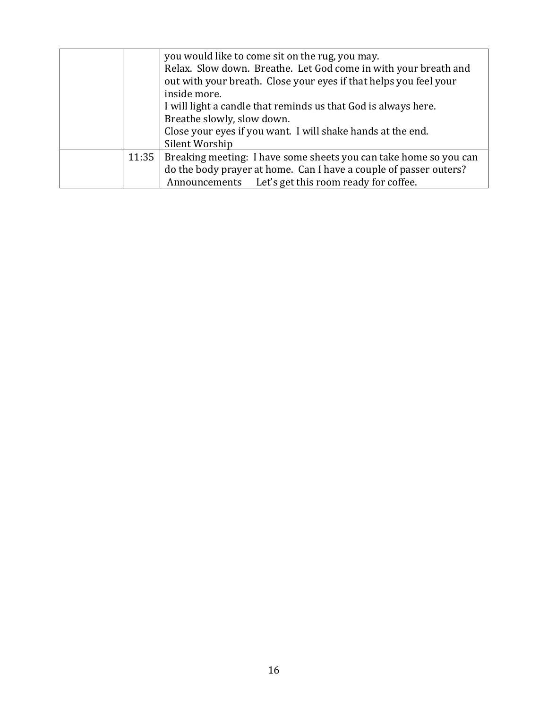|       | you would like to come sit on the rug, you may.                   |
|-------|-------------------------------------------------------------------|
|       | Relax. Slow down. Breathe. Let God come in with your breath and   |
|       | out with your breath. Close your eyes if that helps you feel your |
|       | inside more.                                                      |
|       | I will light a candle that reminds us that God is always here.    |
|       | Breathe slowly, slow down.                                        |
|       | Close your eyes if you want. I will shake hands at the end.       |
|       | Silent Worship                                                    |
| 11:35 | Breaking meeting: I have some sheets you can take home so you can |
|       | do the body prayer at home. Can I have a couple of passer outers? |
|       | Announcements Let's get this room ready for coffee.               |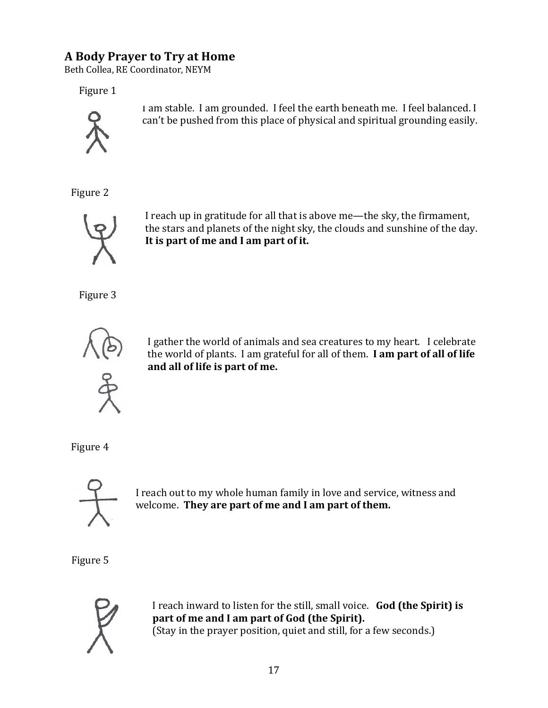# **A Body Prayer to Try at Home**

Beth Collea, RE Coordinator, NEYM

Figure 1



I am stable. I am grounded. I feel the earth beneath me. I feel balanced. I can't be pushed from this place of physical and spiritual grounding easily.

Figure 2



I reach up in gratitude for all that is above me—the sky, the firmament, the stars and planets of the night sky, the clouds and sunshine of the day. It is part of me and I am part of it.

Figure 3



I gather the world of animals and sea creatures to my heart. I celebrate the world of plants. I am grateful for all of them. I am part of all of life and all of life is part of me.

Figure 4



I reach out to my whole human family in love and service, witness and welcome. They are part of me and I am part of them.

Figure 5



I reach inward to listen for the still, small voice. God (the Spirit) is part of me and I am part of God (the Spirit). (Stay in the prayer position, quiet and still, for a few seconds.)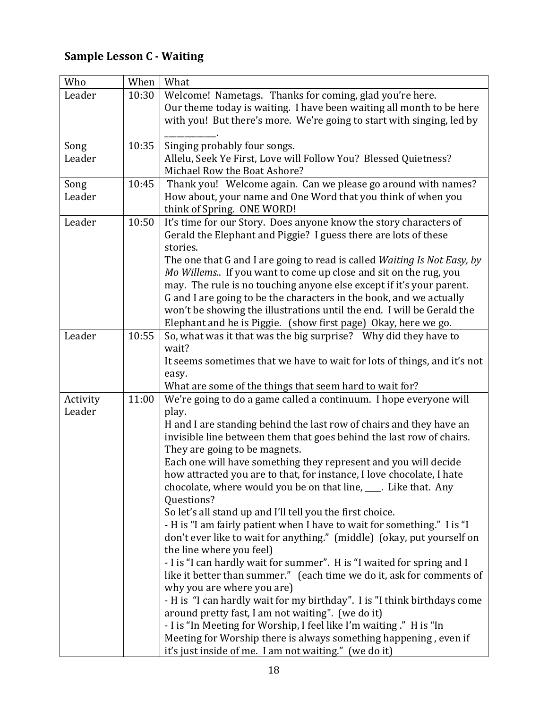# **Sample Lesson C - Waiting**

| Who                | When  | What                                                                                                                                     |
|--------------------|-------|------------------------------------------------------------------------------------------------------------------------------------------|
| Leader             | 10:30 | Welcome! Nametags. Thanks for coming, glad you're here.<br>Our theme today is waiting. I have been waiting all month to be here          |
|                    |       | with you! But there's more. We're going to start with singing, led by                                                                    |
| Song               | 10:35 | Singing probably four songs.                                                                                                             |
| Leader             |       | Allelu, Seek Ye First, Love will Follow You? Blessed Quietness?                                                                          |
|                    |       | Michael Row the Boat Ashore?                                                                                                             |
| Song               | 10:45 | Thank you! Welcome again. Can we please go around with names?                                                                            |
| Leader             |       | How about, your name and One Word that you think of when you                                                                             |
|                    |       | think of Spring. ONE WORD!                                                                                                               |
| Leader             | 10:50 | It's time for our Story. Does anyone know the story characters of                                                                        |
|                    |       | Gerald the Elephant and Piggie? I guess there are lots of these<br>stories.                                                              |
|                    |       | The one that G and I are going to read is called Waiting Is Not Easy, by                                                                 |
|                    |       | Mo Willems If you want to come up close and sit on the rug, you                                                                          |
|                    |       | may. The rule is no touching anyone else except if it's your parent.                                                                     |
|                    |       | G and I are going to be the characters in the book, and we actually                                                                      |
|                    |       | won't be showing the illustrations until the end. I will be Gerald the                                                                   |
|                    |       | Elephant and he is Piggie. (show first page) Okay, here we go.                                                                           |
| Leader             | 10:55 | So, what was it that was the big surprise? Why did they have to                                                                          |
|                    |       | wait?                                                                                                                                    |
|                    |       | It seems sometimes that we have to wait for lots of things, and it's not                                                                 |
|                    |       | easy.                                                                                                                                    |
|                    |       | What are some of the things that seem hard to wait for?                                                                                  |
| Activity<br>Leader | 11:00 | We're going to do a game called a continuum. I hope everyone will<br>play.                                                               |
|                    |       | H and I are standing behind the last row of chairs and they have an                                                                      |
|                    |       | invisible line between them that goes behind the last row of chairs.                                                                     |
|                    |       | They are going to be magnets.                                                                                                            |
|                    |       | Each one will have something they represent and you will decide<br>how attracted you are to that, for instance, I love chocolate, I hate |
|                    |       | chocolate, where would you be on that line, ____. Like that. Any                                                                         |
|                    |       | Questions?                                                                                                                               |
|                    |       | So let's all stand up and I'll tell you the first choice.                                                                                |
|                    |       | - H is "I am fairly patient when I have to wait for something." I is "I                                                                  |
|                    |       | don't ever like to wait for anything." (middle) (okay, put yourself on                                                                   |
|                    |       | the line where you feel)                                                                                                                 |
|                    |       | - I is "I can hardly wait for summer". H is "I waited for spring and I                                                                   |
|                    |       | like it better than summer." (each time we do it, ask for comments of                                                                    |
|                    |       | why you are where you are)                                                                                                               |
|                    |       | - H is "I can hardly wait for my birthday". I is "I think birthdays come                                                                 |
|                    |       | around pretty fast, I am not waiting". (we do it)                                                                                        |
|                    |       | - I is "In Meeting for Worship, I feel like I'm waiting." H is "In                                                                       |
|                    |       | Meeting for Worship there is always something happening, even if                                                                         |
|                    |       | it's just inside of me. I am not waiting." (we do it)                                                                                    |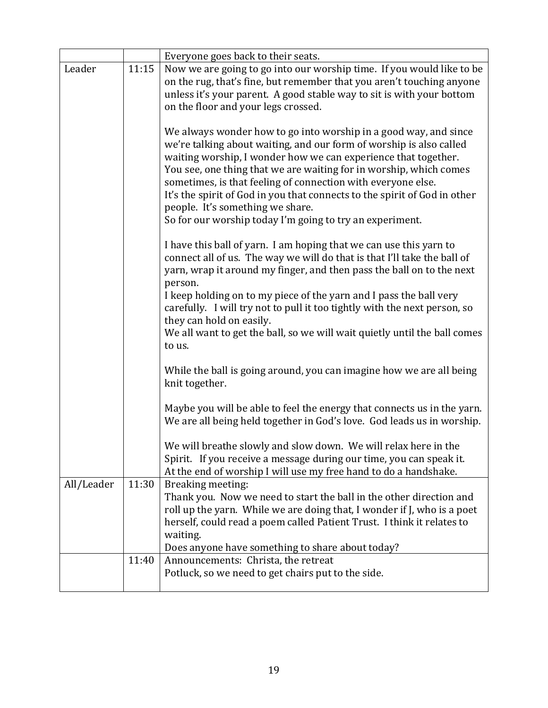|            |       | Everyone goes back to their seats.                                                                                                                                                                                                                                                                                                                                                                                                                                                                                           |
|------------|-------|------------------------------------------------------------------------------------------------------------------------------------------------------------------------------------------------------------------------------------------------------------------------------------------------------------------------------------------------------------------------------------------------------------------------------------------------------------------------------------------------------------------------------|
| Leader     | 11:15 | Now we are going to go into our worship time. If you would like to be<br>on the rug, that's fine, but remember that you aren't touching anyone<br>unless it's your parent. A good stable way to sit is with your bottom<br>on the floor and your legs crossed.                                                                                                                                                                                                                                                               |
|            |       | We always wonder how to go into worship in a good way, and since<br>we're talking about waiting, and our form of worship is also called<br>waiting worship, I wonder how we can experience that together.<br>You see, one thing that we are waiting for in worship, which comes<br>sometimes, is that feeling of connection with everyone else.<br>It's the spirit of God in you that connects to the spirit of God in other<br>people. It's something we share.<br>So for our worship today I'm going to try an experiment. |
|            |       | I have this ball of yarn. I am hoping that we can use this yarn to<br>connect all of us. The way we will do that is that I'll take the ball of<br>yarn, wrap it around my finger, and then pass the ball on to the next<br>person.                                                                                                                                                                                                                                                                                           |
|            |       | I keep holding on to my piece of the yarn and I pass the ball very<br>carefully. I will try not to pull it too tightly with the next person, so<br>they can hold on easily.                                                                                                                                                                                                                                                                                                                                                  |
|            |       | We all want to get the ball, so we will wait quietly until the ball comes<br>to us.                                                                                                                                                                                                                                                                                                                                                                                                                                          |
|            |       | While the ball is going around, you can imagine how we are all being<br>knit together.                                                                                                                                                                                                                                                                                                                                                                                                                                       |
|            |       | Maybe you will be able to feel the energy that connects us in the yarn.<br>We are all being held together in God's love. God leads us in worship.                                                                                                                                                                                                                                                                                                                                                                            |
|            |       | We will breathe slowly and slow down. We will relax here in the<br>Spirit. If you receive a message during our time, you can speak it.<br>At the end of worship I will use my free hand to do a handshake.                                                                                                                                                                                                                                                                                                                   |
| All/Leader | 11:30 | Breaking meeting:<br>Thank you. Now we need to start the ball in the other direction and<br>roll up the yarn. While we are doing that, I wonder if J, who is a poet<br>herself, could read a poem called Patient Trust. I think it relates to<br>waiting.                                                                                                                                                                                                                                                                    |
|            |       | Does anyone have something to share about today?                                                                                                                                                                                                                                                                                                                                                                                                                                                                             |
|            | 11:40 | Announcements: Christa, the retreat<br>Potluck, so we need to get chairs put to the side.                                                                                                                                                                                                                                                                                                                                                                                                                                    |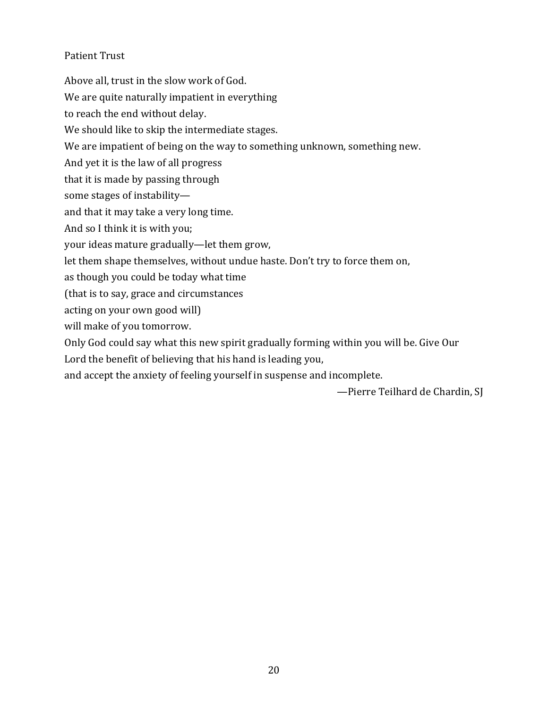#### Patient Trust

Above all, trust in the slow work of God. We are quite naturally impatient in everything to reach the end without delay. We should like to skip the intermediate stages. We are impatient of being on the way to something unknown, something new. And yet it is the law of all progress that it is made by passing through some stages of instabilityand that it may take a very long time. And so I think it is with you; your ideas mature gradually—let them grow, let them shape themselves, without undue haste. Don't try to force them on, as though you could be today what time (that is to say, grace and circumstances acting on your own good will) will make of you tomorrow. Only God could say what this new spirit gradually forming within you will be. Give Our

Lord the benefit of believing that his hand is leading you,

and accept the anxiety of feeling yourself in suspense and incomplete.

-Pierre Teilhard de Chardin, SJ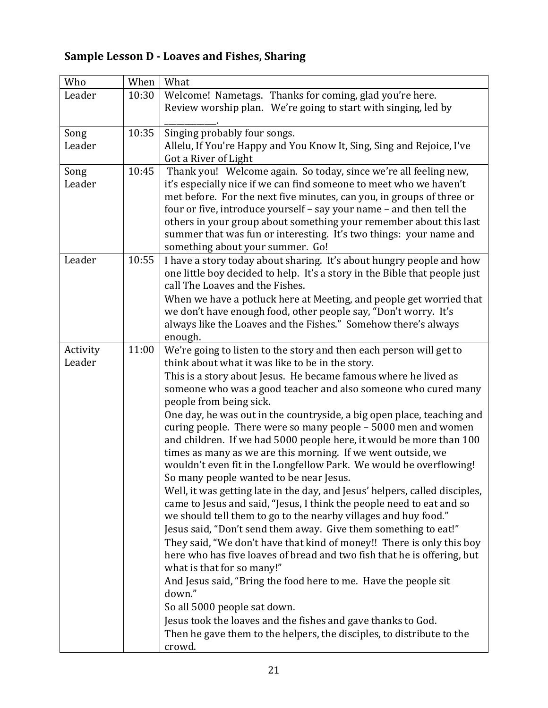# **Sample Lesson D - Loaves and Fishes, Sharing**

| Who                | When  | What                                                                                                                                                                                                                                                                                                                                                                                                                                                                                                                                                                                                                                                                                                                                                                                                                                                                                                                                                                                                                                                                                                                                                                                                                                                                                                                                                                                                                                       |
|--------------------|-------|--------------------------------------------------------------------------------------------------------------------------------------------------------------------------------------------------------------------------------------------------------------------------------------------------------------------------------------------------------------------------------------------------------------------------------------------------------------------------------------------------------------------------------------------------------------------------------------------------------------------------------------------------------------------------------------------------------------------------------------------------------------------------------------------------------------------------------------------------------------------------------------------------------------------------------------------------------------------------------------------------------------------------------------------------------------------------------------------------------------------------------------------------------------------------------------------------------------------------------------------------------------------------------------------------------------------------------------------------------------------------------------------------------------------------------------------|
| Leader             | 10:30 | Welcome! Nametags. Thanks for coming, glad you're here.<br>Review worship plan. We're going to start with singing, led by                                                                                                                                                                                                                                                                                                                                                                                                                                                                                                                                                                                                                                                                                                                                                                                                                                                                                                                                                                                                                                                                                                                                                                                                                                                                                                                  |
| Song<br>Leader     | 10:35 | Singing probably four songs.<br>Allelu, If You're Happy and You Know It, Sing, Sing and Rejoice, I've<br>Got a River of Light                                                                                                                                                                                                                                                                                                                                                                                                                                                                                                                                                                                                                                                                                                                                                                                                                                                                                                                                                                                                                                                                                                                                                                                                                                                                                                              |
| Song<br>Leader     | 10:45 | Thank you! Welcome again. So today, since we're all feeling new,<br>it's especially nice if we can find someone to meet who we haven't<br>met before. For the next five minutes, can you, in groups of three or<br>four or five, introduce yourself - say your name - and then tell the<br>others in your group about something your remember about this last<br>summer that was fun or interesting. It's two things: your name and<br>something about your summer. Go!                                                                                                                                                                                                                                                                                                                                                                                                                                                                                                                                                                                                                                                                                                                                                                                                                                                                                                                                                                    |
| Leader             | 10:55 | I have a story today about sharing. It's about hungry people and how<br>one little boy decided to help. It's a story in the Bible that people just<br>call The Loaves and the Fishes.<br>When we have a potluck here at Meeting, and people get worried that<br>we don't have enough food, other people say, "Don't worry. It's                                                                                                                                                                                                                                                                                                                                                                                                                                                                                                                                                                                                                                                                                                                                                                                                                                                                                                                                                                                                                                                                                                            |
|                    |       | always like the Loaves and the Fishes." Somehow there's always<br>enough.                                                                                                                                                                                                                                                                                                                                                                                                                                                                                                                                                                                                                                                                                                                                                                                                                                                                                                                                                                                                                                                                                                                                                                                                                                                                                                                                                                  |
| Activity<br>Leader | 11:00 | We're going to listen to the story and then each person will get to<br>think about what it was like to be in the story.<br>This is a story about Jesus. He became famous where he lived as<br>someone who was a good teacher and also someone who cured many<br>people from being sick.<br>One day, he was out in the countryside, a big open place, teaching and<br>curing people. There were so many people - 5000 men and women<br>and children. If we had 5000 people here, it would be more than 100<br>times as many as we are this morning. If we went outside, we<br>wouldn't even fit in the Longfellow Park. We would be overflowing!<br>So many people wanted to be near Jesus.<br>Well, it was getting late in the day, and Jesus' helpers, called disciples,<br>came to Jesus and said, "Jesus, I think the people need to eat and so<br>we should tell them to go to the nearby villages and buy food."<br>Jesus said, "Don't send them away. Give them something to eat!"<br>They said, "We don't have that kind of money!! There is only this boy<br>here who has five loaves of bread and two fish that he is offering, but<br>what is that for so many!"<br>And Jesus said, "Bring the food here to me. Have the people sit<br>down."<br>So all 5000 people sat down.<br>Jesus took the loaves and the fishes and gave thanks to God.<br>Then he gave them to the helpers, the disciples, to distribute to the<br>crowd. |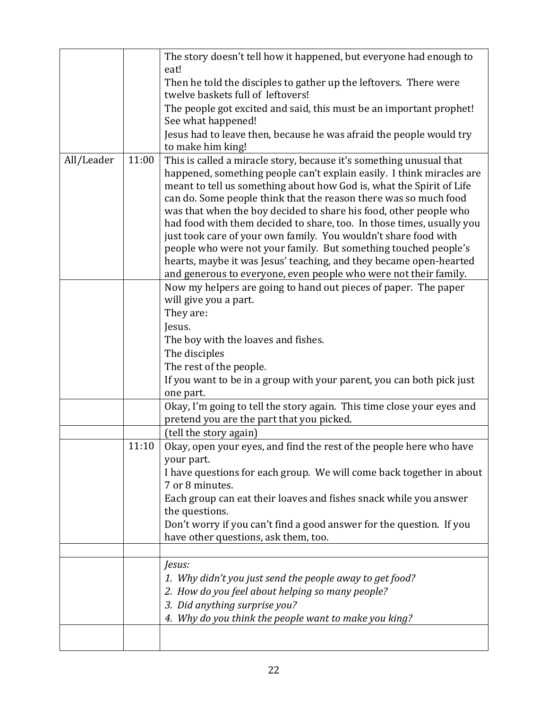|            |       | The story doesn't tell how it happened, but everyone had enough to                                                                                                                                                                                                                       |
|------------|-------|------------------------------------------------------------------------------------------------------------------------------------------------------------------------------------------------------------------------------------------------------------------------------------------|
|            |       | eat!<br>Then he told the disciples to gather up the leftovers. There were                                                                                                                                                                                                                |
|            |       | twelve baskets full of leftovers!                                                                                                                                                                                                                                                        |
|            |       | The people got excited and said, this must be an important prophet!<br>See what happened!                                                                                                                                                                                                |
|            |       | Jesus had to leave then, because he was afraid the people would try                                                                                                                                                                                                                      |
|            |       | to make him king!                                                                                                                                                                                                                                                                        |
| All/Leader | 11:00 | This is called a miracle story, because it's something unusual that<br>happened, something people can't explain easily. I think miracles are<br>meant to tell us something about how God is, what the Spirit of Life<br>can do. Some people think that the reason there was so much food |
|            |       | was that when the boy decided to share his food, other people who<br>had food with them decided to share, too. In those times, usually you<br>just took care of your own family. You wouldn't share food with                                                                            |
|            |       | people who were not your family. But something touched people's<br>hearts, maybe it was Jesus' teaching, and they became open-hearted                                                                                                                                                    |
|            |       | and generous to everyone, even people who were not their family.                                                                                                                                                                                                                         |
|            |       | Now my helpers are going to hand out pieces of paper. The paper<br>will give you a part.                                                                                                                                                                                                 |
|            |       | They are:                                                                                                                                                                                                                                                                                |
|            |       | Jesus.                                                                                                                                                                                                                                                                                   |
|            |       | The boy with the loaves and fishes.                                                                                                                                                                                                                                                      |
|            |       | The disciples                                                                                                                                                                                                                                                                            |
|            |       | The rest of the people.                                                                                                                                                                                                                                                                  |
|            |       | If you want to be in a group with your parent, you can both pick just<br>one part.                                                                                                                                                                                                       |
|            |       | Okay, I'm going to tell the story again. This time close your eyes and<br>pretend you are the part that you picked.                                                                                                                                                                      |
|            |       | (tell the story again)                                                                                                                                                                                                                                                                   |
|            | 11:10 | Okay, open your eyes, and find the rest of the people here who have<br>your part.                                                                                                                                                                                                        |
|            |       | I have questions for each group. We will come back together in about<br>7 or 8 minutes.                                                                                                                                                                                                  |
|            |       | Each group can eat their loaves and fishes snack while you answer<br>the questions.                                                                                                                                                                                                      |
|            |       | Don't worry if you can't find a good answer for the question. If you                                                                                                                                                                                                                     |
|            |       | have other questions, ask them, too.                                                                                                                                                                                                                                                     |
|            |       | Jesus:                                                                                                                                                                                                                                                                                   |
|            |       | 1. Why didn't you just send the people away to get food?                                                                                                                                                                                                                                 |
|            |       | 2. How do you feel about helping so many people?                                                                                                                                                                                                                                         |
|            |       | 3. Did anything surprise you?                                                                                                                                                                                                                                                            |
|            |       | 4. Why do you think the people want to make you king?                                                                                                                                                                                                                                    |
|            |       |                                                                                                                                                                                                                                                                                          |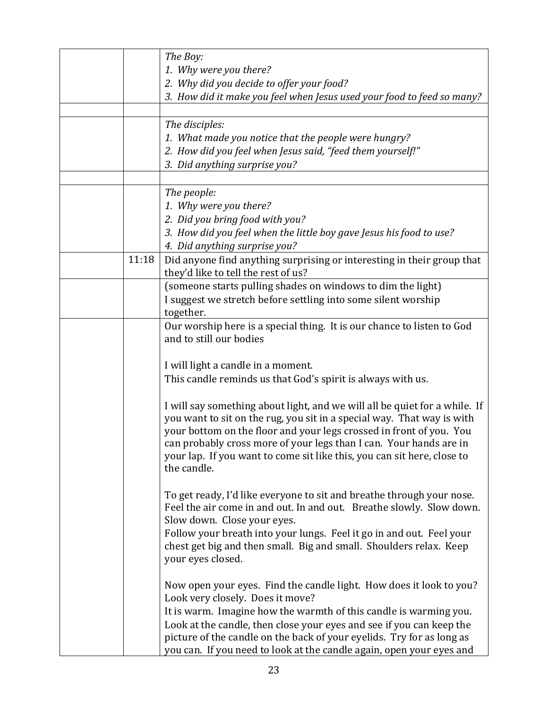|       | The Boy:                                                                   |
|-------|----------------------------------------------------------------------------|
|       | 1. Why were you there?                                                     |
|       | 2. Why did you decide to offer your food?                                  |
|       | 3. How did it make you feel when Jesus used your food to feed so many?     |
|       |                                                                            |
|       | The disciples:                                                             |
|       | 1. What made you notice that the people were hungry?                       |
|       | 2. How did you feel when Jesus said, "feed them yourself!"                 |
|       | 3. Did anything surprise you?                                              |
|       |                                                                            |
|       | The people:                                                                |
|       | 1. Why were you there?                                                     |
|       | 2. Did you bring food with you?                                            |
|       | 3. How did you feel when the little boy gave Jesus his food to use?        |
|       | 4. Did anything surprise you?                                              |
| 11:18 | Did anyone find anything surprising or interesting in their group that     |
|       | they'd like to tell the rest of us?                                        |
|       | (someone starts pulling shades on windows to dim the light)                |
|       | I suggest we stretch before settling into some silent worship              |
|       | together.                                                                  |
|       | Our worship here is a special thing. It is our chance to listen to God     |
|       | and to still our bodies                                                    |
|       |                                                                            |
|       | I will light a candle in a moment.                                         |
|       | This candle reminds us that God's spirit is always with us.                |
|       |                                                                            |
|       | I will say something about light, and we will all be quiet for a while. If |
|       | you want to sit on the rug, you sit in a special way. That way is with     |
|       | your bottom on the floor and your legs crossed in front of you. You        |
|       | can probably cross more of your legs than I can. Your hands are in         |
|       | your lap. If you want to come sit like this, you can sit here, close to    |
|       | the candle.                                                                |
|       |                                                                            |
|       | To get ready, I'd like everyone to sit and breathe through your nose.      |
|       | Feel the air come in and out. In and out. Breathe slowly. Slow down.       |
|       | Slow down. Close your eyes.                                                |
|       | Follow your breath into your lungs. Feel it go in and out. Feel your       |
|       | chest get big and then small. Big and small. Shoulders relax. Keep         |
|       | your eyes closed.                                                          |
|       |                                                                            |
|       | Now open your eyes. Find the candle light. How does it look to you?        |
|       | Look very closely. Does it move?                                           |
|       | It is warm. Imagine how the warmth of this candle is warming you.          |
|       | Look at the candle, then close your eyes and see if you can keep the       |
|       | picture of the candle on the back of your eyelids. Try for as long as      |
|       | you can. If you need to look at the candle again, open your eyes and       |